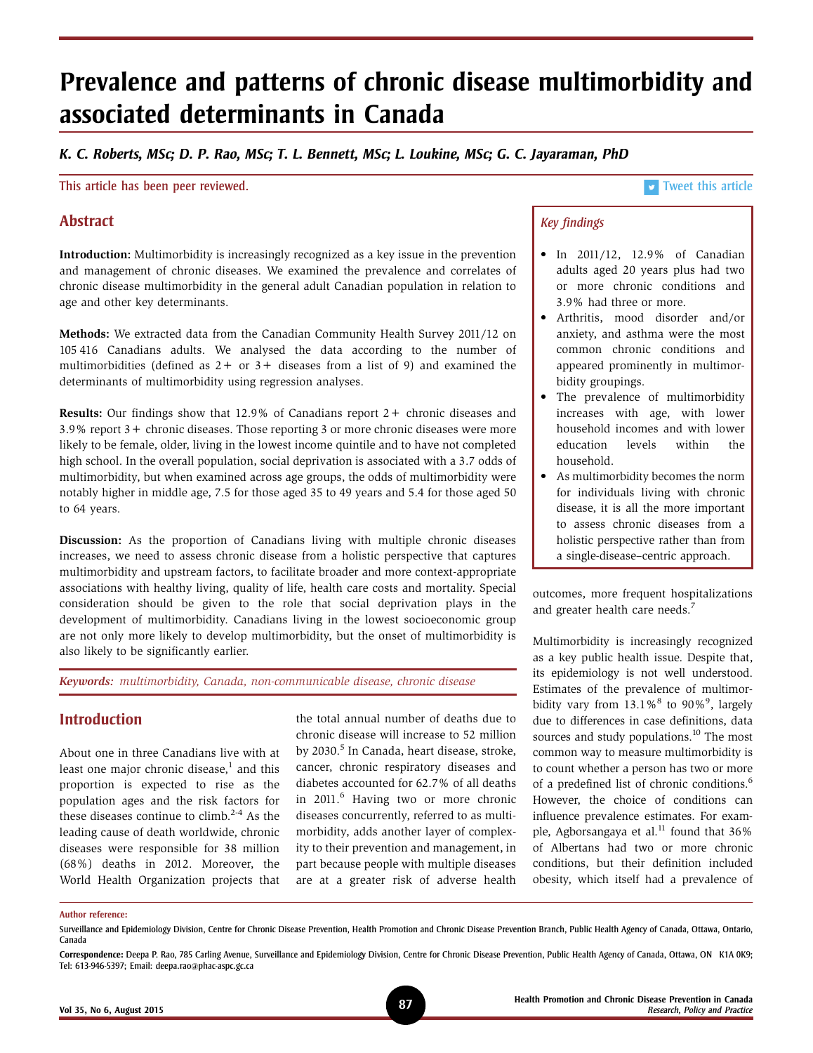# Prevalence and patterns of chronic disease multimorbidity and associated determinants in Canada

K. C. Roberts, MSc; D. P. Rao, MSc; T. L. Bennett, MSc; L. Loukine, MSc; G. C. Jayaraman, PhD

This article has been peer reviewed. This article is a structure of the structure of the structure of the structure of the structure of the structure of the structure of the structure of the structure of the structure of t

# Abstract

Introduction: Multimorbidity is increasingly recognized as a key issue in the prevention and management of chronic diseases. We examined the prevalence and correlates of chronic disease multimorbidity in the general adult Canadian population in relation to age and other key determinants.

Methods: We extracted data from the Canadian Community Health Survey 2011/12 on 105 416 Canadians adults. We analysed the data according to the number of multimorbidities (defined as  $2+$  or  $3+$  diseases from a list of 9) and examined the determinants of multimorbidity using regression analyses.

Results: Our findings show that 12.9% of Canadians report 2+ chronic diseases and 3.9% report 3+ chronic diseases. Those reporting 3 or more chronic diseases were more likely to be female, older, living in the lowest income quintile and to have not completed high school. In the overall population, social deprivation is associated with a 3.7 odds of multimorbidity, but when examined across age groups, the odds of multimorbidity were notably higher in middle age, 7.5 for those aged 35 to 49 years and 5.4 for those aged 50 to 64 years.

Discussion: As the proportion of Canadians living with multiple chronic diseases increases, we need to assess chronic disease from a holistic perspective that captures multimorbidity and upstream factors, to facilitate broader and more context-appropriate associations with healthy living, quality of life, health care costs and mortality. Special consideration should be given to the role that social deprivation plays in the development of multimorbidity. Canadians living in the lowest socioeconomic group are not only more likely to develop multimorbidity, but the onset of multimorbidity is also likely to be significantly earlier.

Keywords: multimorbidity, Canada, non-communicable disease, chronic disease

# **Introduction**

About one in three Canadians live with at least one major chronic disease, $<sup>1</sup>$  and this</sup> proportion is expected to rise as the population ages and the risk factors for these diseases continue to climb.<sup>2-4</sup> As the leading cause of death worldwide, chronic diseases were responsible for 38 million (68%) deaths in 2012. Moreover, the World Health Organization projects that the total annual number of deaths due to chronic disease will increase to 52 million by 2030.<sup>5</sup> In Canada, heart disease, stroke, cancer, chronic respiratory diseases and diabetes accounted for 62.7% of all deaths in 2011.6 Having two or more chronic diseases concurrently, referred to as multimorbidity, adds another layer of complexity to their prevention and management, in part because people with multiple diseases are at a greater risk of adverse health

## Key findings

- In 2011/12, 12.9% of Canadian adults aged 20 years plus had two or more chronic conditions and 3.9% had three or more.
- Arthritis, mood disorder and/or anxiety, and asthma were the most common chronic conditions and appeared prominently in multimorbidity groupings.
- The prevalence of multimorbidity increases with age, with lower household incomes and with lower education levels within the household.
- As multimorbidity becomes the norm for individuals living with chronic disease, it is all the more important to assess chronic diseases from a holistic perspective rather than from a single-disease–centric approach.

outcomes, more frequent hospitalizations and greater health care needs.<sup>7</sup>

Multimorbidity is increasingly recognized as a key public health issue. Despite that, its epidemiology is not well understood. Estimates of the prevalence of multimorbidity vary from  $13.1\%$ <sup>8</sup> to  $90\%$ <sup>9</sup>, largely due to differences in case definitions, data sources and study populations.<sup>10</sup> The most common way to measure multimorbidity is to count whether a person has two or more of a predefined list of chronic conditions.<sup>6</sup> However, the choice of conditions can influence prevalence estimates. For example, Agborsangaya et al. $^{11}$  found that 36% of Albertans had two or more chronic conditions, but their definition included obesity, which itself had a prevalence of

Author reference:

Surveillance and Epidemiology Division, Centre for Chronic Disease Prevention, Health Promotion and Chronic Disease Prevention Branch, Public Health Agency of Canada, Ottawa, Ontario, Canada

Correspondence: Deepa P. Rao, 785 Carling Avenue, Surveillance and Epidemiology Division, Centre for Chronic Disease Prevention, Public Health Agency of Canada, Ottawa, ON K1A 0K9; Tel: 613-946-5397; Email: deepa.rao@phac-aspc.gc.ca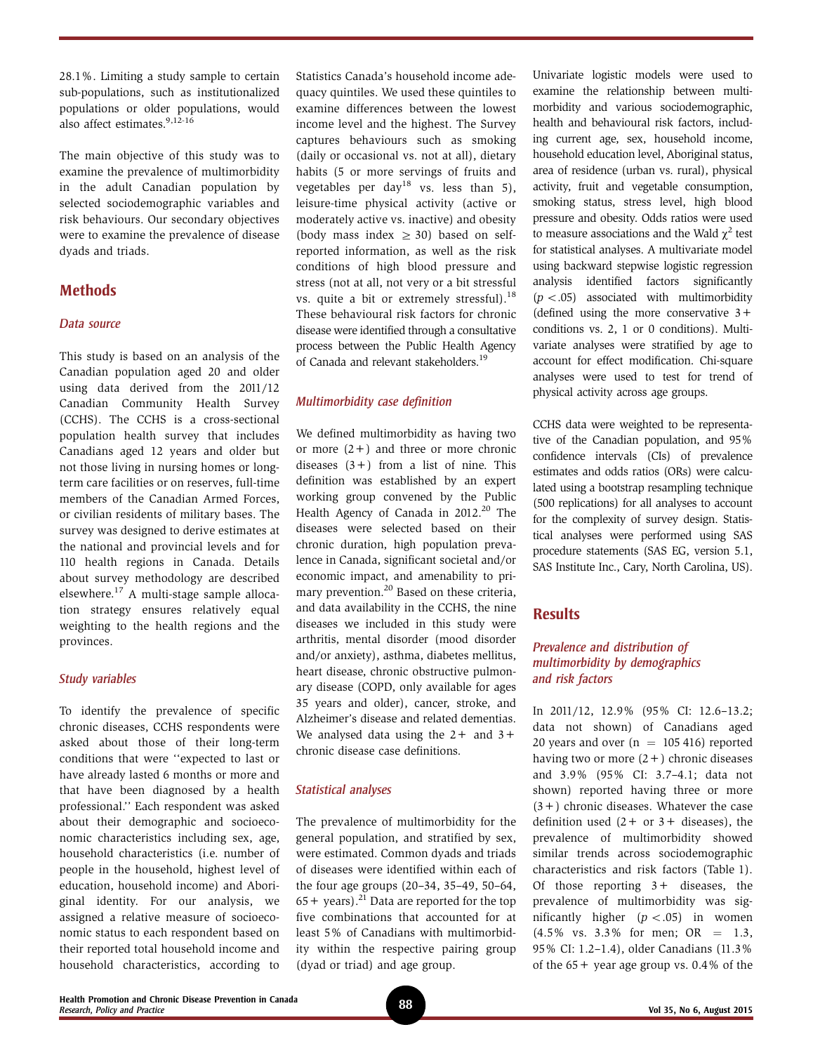28.1%. Limiting a study sample to certain sub-populations, such as institutionalized populations or older populations, would also affect estimates  $9,12-16$ 

The main objective of this study was to examine the prevalence of multimorbidity in the adult Canadian population by selected sociodemographic variables and risk behaviours. Our secondary objectives were to examine the prevalence of disease dyads and triads.

## **Methods**

#### Data source

This study is based on an analysis of the Canadian population aged 20 and older using data derived from the 2011/12 Canadian Community Health Survey (CCHS). The CCHS is a cross-sectional population health survey that includes Canadians aged 12 years and older but not those living in nursing homes or longterm care facilities or on reserves, full-time members of the Canadian Armed Forces, or civilian residents of military bases. The survey was designed to derive estimates at the national and provincial levels and for 110 health regions in Canada. Details about survey methodology are described elsewhere. $17$  A multi-stage sample allocation strategy ensures relatively equal weighting to the health regions and the provinces.

#### Study variables

To identify the prevalence of specific chronic diseases, CCHS respondents were asked about those of their long-term conditions that were ''expected to last or have already lasted 6 months or more and that have been diagnosed by a health professional.'' Each respondent was asked about their demographic and socioeconomic characteristics including sex, age, household characteristics (i.e. number of people in the household, highest level of education, household income) and Aboriginal identity. For our analysis, we assigned a relative measure of socioeconomic status to each respondent based on their reported total household income and household characteristics, according to

Statistics Canada's household income adequacy quintiles. We used these quintiles to examine differences between the lowest income level and the highest. The Survey captures behaviours such as smoking (daily or occasional vs. not at all), dietary habits (5 or more servings of fruits and vegetables per day<sup>18</sup> vs. less than 5), leisure-time physical activity (active or moderately active vs. inactive) and obesity (body mass index  $>$  30) based on selfreported information, as well as the risk conditions of high blood pressure and stress (not at all, not very or a bit stressful vs. quite a bit or extremely stressful).18 These behavioural risk factors for chronic disease were identified through a consultative process between the Public Health Agency of Canada and relevant stakeholders.<sup>19</sup>

## Multimorbidity case definition

We defined multimorbidity as having two or more  $(2+)$  and three or more chronic diseases  $(3+)$  from a list of nine. This definition was established by an expert working group convened by the Public Health Agency of Canada in  $2012.<sup>20</sup>$  The diseases were selected based on their chronic duration, high population prevalence in Canada, significant societal and/or economic impact, and amenability to primary prevention.<sup>20</sup> Based on these criteria, and data availability in the CCHS, the nine diseases we included in this study were arthritis, mental disorder (mood disorder and/or anxiety), asthma, diabetes mellitus, heart disease, chronic obstructive pulmonary disease (COPD, only available for ages 35 years and older), cancer, stroke, and Alzheimer's disease and related dementias. We analysed data using the  $2+$  and  $3+$ chronic disease case definitions.

## Statistical analyses

The prevalence of multimorbidity for the general population, and stratified by sex, were estimated. Common dyads and triads of diseases were identified within each of the four age groups (20–34, 35–49, 50–64,  $65 + \text{ years}$ .<sup>21</sup> Data are reported for the top five combinations that accounted for at least 5% of Canadians with multimorbidity within the respective pairing group (dyad or triad) and age group.

Univariate logistic models were used to examine the relationship between multimorbidity and various sociodemographic, health and behavioural risk factors, including current age, sex, household income, household education level, Aboriginal status, area of residence (urban vs. rural), physical activity, fruit and vegetable consumption, smoking status, stress level, high blood pressure and obesity. Odds ratios were used to measure associations and the Wald  $\gamma^2$  test for statistical analyses. A multivariate model using backward stepwise logistic regression analysis identified factors significantly  $(p < .05)$  associated with multimorbidity (defined using the more conservative  $3+$ conditions vs. 2, 1 or 0 conditions). Multivariate analyses were stratified by age to account for effect modification. Chi-square analyses were used to test for trend of physical activity across age groups.

CCHS data were weighted to be representative of the Canadian population, and 95% confidence intervals (CIs) of prevalence estimates and odds ratios (ORs) were calculated using a bootstrap resampling technique (500 replications) for all analyses to account for the complexity of survey design. Statistical analyses were performed using SAS procedure statements (SAS EG, version 5.1, SAS Institute Inc., Cary, North Carolina, US).

## **Results**

## Prevalence and distribution of multimorbidity by demographics and risk factors

In 2011/12, 12.9% (95% CI: 12.6–13.2; data not shown) of Canadians aged 20 years and over  $(n = 105 416)$  reported having two or more  $(2+)$  chronic diseases and 3.9% (95% CI: 3.7–4.1; data not shown) reported having three or more  $(3+)$  chronic diseases. Whatever the case definition used  $(2 + or 3 + d$ iseases), the prevalence of multimorbidity showed similar trends across sociodemographic characteristics and risk factors (Table 1). Of those reporting 3+ diseases, the prevalence of multimorbidity was significantly higher  $(p < .05)$  in women  $(4.5\% \text{ vs. } 3.3\% \text{ for men; OR } = 1.3,$ 95% CI: 1.2–1.4), older Canadians (11.3% of the  $65+$  year age group vs.  $0.4\%$  of the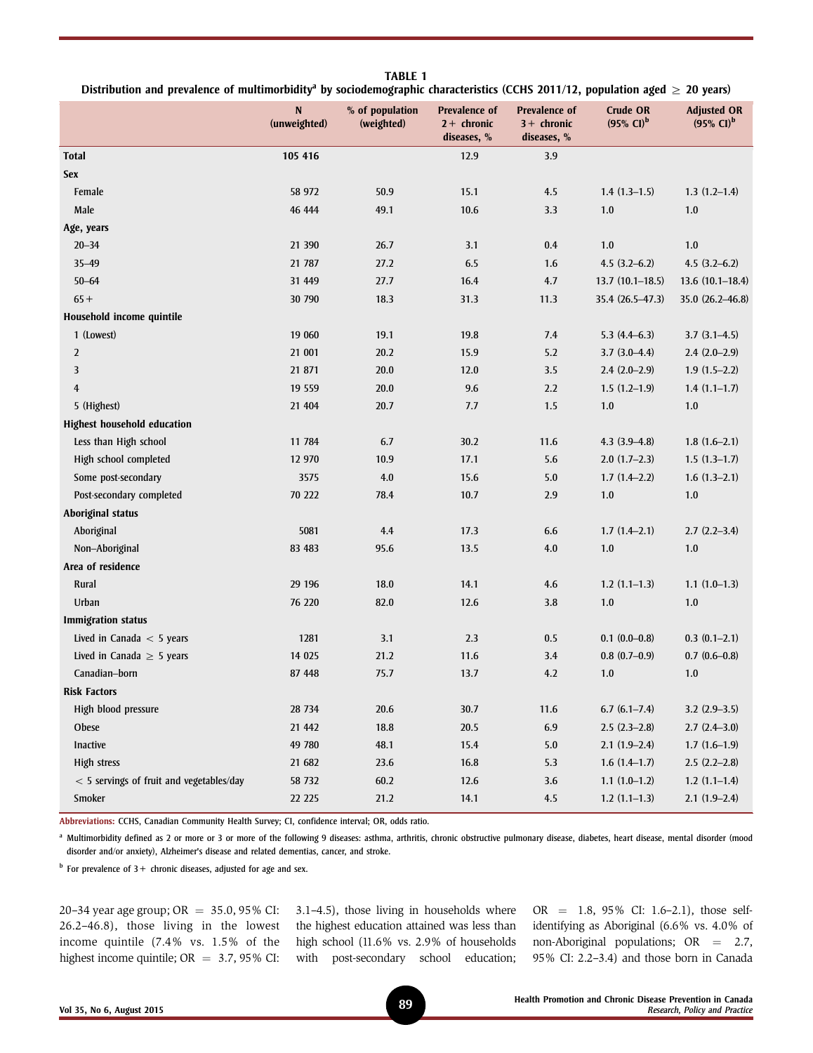|                                            | N<br>(unweighted) | % of population<br>(weighted) | <b>Prevalence of</b><br>$2+$ chronic<br>diseases, % | <b>Prevalence of</b><br>$3+$ chronic<br>diseases, % | <b>Crude OR</b><br>$(95\% \text{ Cl})^{\text{b}}$ | <b>Adjusted OR</b><br>$(95\% \text{ Cl})^{\text{b}}$ |
|--------------------------------------------|-------------------|-------------------------------|-----------------------------------------------------|-----------------------------------------------------|---------------------------------------------------|------------------------------------------------------|
| <b>Total</b>                               | 105 416           |                               | 12.9                                                | 3.9                                                 |                                                   |                                                      |
| Sex                                        |                   |                               |                                                     |                                                     |                                                   |                                                      |
| Female                                     | 58 972            | 50.9                          | 15.1                                                | 4.5                                                 | $1.4(1.3-1.5)$                                    | $1.3(1.2-1.4)$                                       |
| Male                                       | 46 444            | 49.1                          | 10.6                                                | 3.3                                                 | 1.0                                               | 1.0                                                  |
| Age, years                                 |                   |                               |                                                     |                                                     |                                                   |                                                      |
| $20 - 34$                                  | 21 390            | 26.7                          | 3.1                                                 | 0.4                                                 | 1.0                                               | 1.0                                                  |
| $35 - 49$                                  | 21 787            | 27.2                          | 6.5                                                 | 1.6                                                 | $4.5(3.2-6.2)$                                    | $4.5(3.2-6.2)$                                       |
| $50 - 64$                                  | 31 449            | 27.7                          | 16.4                                                | 4.7                                                 | $13.7(10.1-18.5)$                                 | $13.6(10.1-18.4)$                                    |
| $65+$                                      | 30 790            | 18.3                          | 31.3                                                | 11.3                                                | 35.4 (26.5-47.3)                                  | 35.0 (26.2-46.8)                                     |
| Household income quintile                  |                   |                               |                                                     |                                                     |                                                   |                                                      |
| 1 (Lowest)                                 | 19 060            | 19.1                          | 19.8                                                | 7.4                                                 | $5.3(4.4-6.3)$                                    | $3.7(3.1-4.5)$                                       |
| $\overline{2}$                             | 21 001            | 20.2                          | 15.9                                                | 5.2                                                 | $3.7(3.0-4.4)$                                    | $2.4(2.0-2.9)$                                       |
| 3                                          | 21 871            | 20.0                          | 12.0                                                | 3.5                                                 | $2.4(2.0-2.9)$                                    | $1.9(1.5-2.2)$                                       |
| $\overline{4}$                             | 19 559            | 20.0                          | 9.6                                                 | 2.2                                                 | $1.5(1.2-1.9)$                                    | $1.4(1.1-1.7)$                                       |
| 5 (Highest)                                | 21 404            | 20.7                          | 7.7                                                 | 1.5                                                 | 1.0                                               | 1.0                                                  |
| <b>Highest household education</b>         |                   |                               |                                                     |                                                     |                                                   |                                                      |
| Less than High school                      | 11 784            | 6.7                           | 30.2                                                | 11.6                                                | $4.3(3.9-4.8)$                                    | $1.8(1.6-2.1)$                                       |
| High school completed                      | 12 970            | 10.9                          | 17.1                                                | 5.6                                                 | $2.0(1.7-2.3)$                                    | $1.5(1.3-1.7)$                                       |
| Some post-secondary                        | 3575              | 4.0                           | 15.6                                                | 5.0                                                 | $1.7(1.4-2.2)$                                    | $1.6(1.3-2.1)$                                       |
| Post-secondary completed                   | 70 222            | 78.4                          | 10.7                                                | 2.9                                                 | 1.0                                               | 1.0                                                  |
| <b>Aboriginal status</b>                   |                   |                               |                                                     |                                                     |                                                   |                                                      |
| Aboriginal                                 | 5081              | 4.4                           | 17.3                                                | 6.6                                                 | $1.7(1.4-2.1)$                                    | $2.7(2.2-3.4)$                                       |
| Non-Aboriginal                             | 83 483            | 95.6                          | 13.5                                                | 4.0                                                 | $1.0\,$                                           | 1.0                                                  |
| Area of residence                          |                   |                               |                                                     |                                                     |                                                   |                                                      |
| Rural                                      | 29 19 6           | 18.0                          | 14.1                                                | 4.6                                                 | $1.2(1.1-1.3)$                                    | $1.1(1.0-1.3)$                                       |
| Urban                                      | 76 220            | 82.0                          | 12.6                                                | 3.8                                                 | $1.0\,$                                           | 1.0                                                  |
| <b>Immigration status</b>                  |                   |                               |                                                     |                                                     |                                                   |                                                      |
| Lived in Canada $< 5$ years                | 1281              | 3.1                           | 2.3                                                 | 0.5                                                 | $0.1 (0.0 - 0.8)$                                 | $0.3(0.1-2.1)$                                       |
| Lived in Canada $\geq$ 5 years             | 14 025            | 21.2                          | 11.6                                                | 3.4                                                 | $0.8$ $(0.7-0.9)$                                 | $0.7(0.6-0.8)$                                       |
| Canadian-born                              | 87 448            | 75.7                          | 13.7                                                | 4.2                                                 | 1.0                                               | 1.0                                                  |
| <b>Risk Factors</b>                        |                   |                               |                                                     |                                                     |                                                   |                                                      |
| High blood pressure                        | 28 734            | 20.6                          | 30.7                                                | 11.6                                                | $6.7(6.1 - 7.4)$                                  | $3.2(2.9-3.5)$                                       |
| Obese                                      | 21 442            | 18.8                          | 20.5                                                | 6.9                                                 | $2.5(2.3-2.8)$                                    | $2.7(2.4-3.0)$                                       |
| Inactive                                   | 49 780            | 48.1                          | 15.4                                                | 5.0                                                 | $2.1(1.9-2.4)$                                    | $1.7(1.6-1.9)$                                       |
| High stress                                | 21 682            | 23.6                          | 16.8                                                | 5.3                                                 | $1.6(1.4-1.7)$                                    | $2.5(2.2-2.8)$                                       |
| $<$ 5 servings of fruit and vegetables/day | 58 732            | 60.2                          | 12.6                                                | 3.6                                                 | $1.1(1.0-1.2)$                                    | $1.2(1.1-1.4)$                                       |
| Smoker                                     | 22 22 5           | 21.2                          | 14.1                                                | 4.5                                                 | $1.2(1.1-1.3)$                                    | $2.1(1.9-2.4)$                                       |

TABLE 1 Distribution and prevalence of multimorbidity<sup>a</sup> by sociodemographic characteristics (CCHS 2011/12, population aged  $\geq 20$  years)

Abbreviations: CCHS, Canadian Community Health Survey; CI, confidence interval; OR, odds ratio.

<sup>a</sup> Multimorbidity defined as 2 or more or 3 or more of the following 9 diseases: asthma, arthritis, chronic obstructive pulmonary disease, diabetes, heart disease, mental disorder (mood disorder and/or anxiety), Alzheimer's disease and related dementias, cancer, and stroke.

 $<sup>b</sup>$  For prevalence of 3 + chronic diseases, adjusted for age and sex.</sup>

20–34 year age group; OR =  $35.0, 95\%$  CI: 26.2–46.8), those living in the lowest income quintile (7.4% vs. 1.5% of the highest income quintile;  $OR = 3.7, 95\%$  CI:

3.1–4.5), those living in households where the highest education attained was less than high school (11.6% vs. 2.9% of households with post-secondary school education;

OR =  $1.8$ ,  $95\%$  CI:  $1.6-2.1$ ), those selfidentifying as Aboriginal (6.6% vs. 4.0% of non-Aboriginal populations;  $OR = 2.7$ , 95% CI: 2.2–3.4) and those born in Canada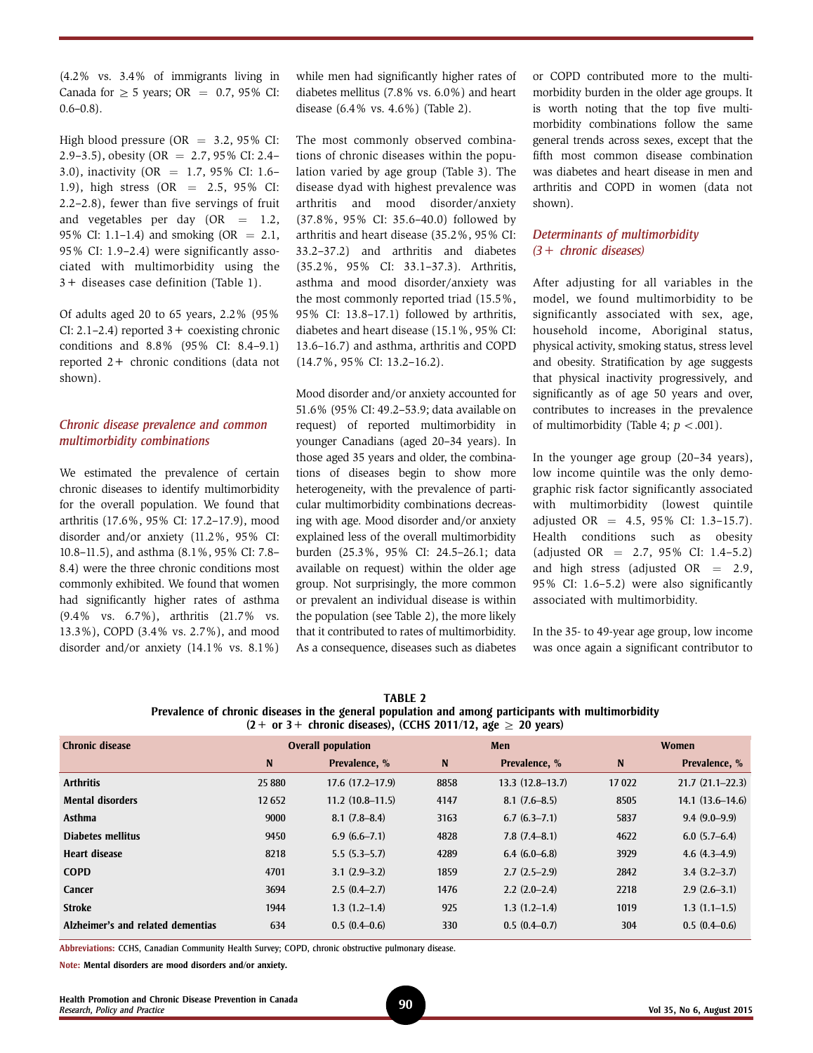(4.2% vs. 3.4% of immigrants living in Canada for  $\geq$  5 years; OR = 0.7, 95% CI:  $0.6 - 0.8$ ).

High blood pressure ( $OR = 3.2$ , 95% CI: 2.9–3.5), obesity (OR = 2.7, 95% CI: 2.4– 3.0), inactivity (OR = 1.7, 95% CI: 1.6– 1.9), high stress (OR =  $2.5$ , 95% CI: 2.2–2.8), fewer than five servings of fruit and vegetables per day  $(OR = 1.2,$ 95% CI: 1.1–1.4) and smoking  $(OR = 2.1, ...)$ 95% CI: 1.9–2.4) were significantly associated with multimorbidity using the 3+ diseases case definition (Table 1).

Of adults aged 20 to 65 years, 2.2% (95% CI: 2.1–2.4) reported  $3+$  coexisting chronic conditions and 8.8% (95% CI: 8.4–9.1) reported 2+ chronic conditions (data not shown).

#### Chronic disease prevalence and common multimorbidity combinations

We estimated the prevalence of certain chronic diseases to identify multimorbidity for the overall population. We found that arthritis (17.6%, 95% CI: 17.2–17.9), mood disorder and/or anxiety (11.2%, 95% CI: 10.8–11.5), and asthma (8.1%, 95% CI: 7.8– 8.4) were the three chronic conditions most commonly exhibited. We found that women had significantly higher rates of asthma (9.4% vs. 6.7%), arthritis (21.7% vs. 13.3%), COPD (3.4% vs. 2.7%), and mood disorder and/or anxiety (14.1% vs. 8.1%)

while men had significantly higher rates of diabetes mellitus (7.8% vs. 6.0%) and heart disease (6.4% vs. 4.6%) (Table 2).

The most commonly observed combinations of chronic diseases within the population varied by age group (Table 3). The disease dyad with highest prevalence was arthritis and mood disorder/anxiety (37.8%, 95% CI: 35.6–40.0) followed by arthritis and heart disease (35.2%, 95% CI: 33.2–37.2) and arthritis and diabetes (35.2%, 95% CI: 33.1–37.3). Arthritis, asthma and mood disorder/anxiety was the most commonly reported triad (15.5%, 95% CI: 13.8–17.1) followed by arthritis, diabetes and heart disease (15.1%, 95% CI: 13.6–16.7) and asthma, arthritis and COPD (14.7%, 95% CI: 13.2–16.2).

Mood disorder and/or anxiety accounted for 51.6% (95% CI: 49.2–53.9; data available on request) of reported multimorbidity in younger Canadians (aged 20–34 years). In those aged 35 years and older, the combinations of diseases begin to show more heterogeneity, with the prevalence of particular multimorbidity combinations decreasing with age. Mood disorder and/or anxiety explained less of the overall multimorbidity burden (25.3%, 95% CI: 24.5–26.1; data available on request) within the older age group. Not surprisingly, the more common or prevalent an individual disease is within the population (see Table 2), the more likely that it contributed to rates of multimorbidity. As a consequence, diseases such as diabetes or COPD contributed more to the multimorbidity burden in the older age groups. It is worth noting that the top five multimorbidity combinations follow the same general trends across sexes, except that the fifth most common disease combination was diabetes and heart disease in men and arthritis and COPD in women (data not shown).

## Determinants of multimorbidity  $(3 +$  chronic diseases)

After adjusting for all variables in the model, we found multimorbidity to be significantly associated with sex, age, household income, Aboriginal status, physical activity, smoking status, stress level and obesity. Stratification by age suggests that physical inactivity progressively, and significantly as of age 50 years and over, contributes to increases in the prevalence of multimorbidity (Table 4;  $p < .001$ ).

In the younger age group (20–34 years), low income quintile was the only demographic risk factor significantly associated with multimorbidity (lowest quintile adjusted OR =  $4.5$ , 95% CI: 1.3-15.7). Health conditions such as obesity (adjusted OR  $=$  2.7, 95% CI: 1.4-5.2) and high stress (adjusted  $OR = 2.9$ , 95% CI: 1.6–5.2) were also significantly associated with multimorbidity.

In the 35- to 49-year age group, low income was once again a significant contributor to

| $\mathcal{L}$ or $\mathcal{L}$ controlled uncertainty, (equipment zone $\mathcal{L}$ and $\mathcal{L}$ $\mathcal{L}$ and $\mathcal{L}$ |                           |                   |      |                   |       |                   |
|----------------------------------------------------------------------------------------------------------------------------------------|---------------------------|-------------------|------|-------------------|-------|-------------------|
| <b>Chronic disease</b>                                                                                                                 | <b>Overall population</b> |                   | Men  |                   | Women |                   |
|                                                                                                                                        | N                         | Prevalence, %     | N    | Prevalence, %     | N     | Prevalence, %     |
| <b>Arthritis</b>                                                                                                                       | 25 880                    | $17.6(17.2-17.9)$ | 8858 | $13.3(12.8-13.7)$ | 17022 | $21.7(21.1-22.3)$ |
| <b>Mental disorders</b>                                                                                                                | 12 6 52                   | $11.2(10.8-11.5)$ | 4147 | $8.1(7.6-8.5)$    | 8505  | $14.1(13.6-14.6)$ |
| Asthma                                                                                                                                 | 9000                      | $8.1(7.8-8.4)$    | 3163 | $6.7(6.3 - 7.1)$  | 5837  | $9.4(9.0-9.9)$    |
| Diabetes mellitus                                                                                                                      | 9450                      | $6.9(6.6-7.1)$    | 4828 | 7.8(7.4–8.1)      | 4622  | $6.0(5.7-6.4)$    |
| <b>Heart disease</b>                                                                                                                   | 8218                      | $5.5(5.3-5.7)$    | 4289 | $6.4(6.0-6.8)$    | 3929  | $4.6(4.3-4.9)$    |
| <b>COPD</b>                                                                                                                            | 4701                      | $3.1(2.9-3.2)$    | 1859 | $2.7(2.5-2.9)$    | 2842  | $3.4(3.2 - 3.7)$  |
| <b>Cancer</b>                                                                                                                          | 3694                      | $2.5(0.4-2.7)$    | 1476 | $2.2(2.0-2.4)$    | 2218  | $2.9(2.6-3.1)$    |
| <b>Stroke</b>                                                                                                                          | 1944                      | $1.3(1.2-1.4)$    | 925  | $1.3(1.2-1.4)$    | 1019  | $1.3(1.1-1.5)$    |
| Alzheimer's and related dementias                                                                                                      | 634                       | $0.5(0.4-0.6)$    | 330  | $0.5(0.4-0.7)$    | 304   | $0.5(0.4-0.6)$    |

TABLE 2 Prevalence of chronic diseases in the general population and among participants with multimorbidity  $(2 +$  or 3 + chronic diseases), (CCHS 2011/12, age  $> 20$  years)

Abbreviations: CCHS, Canadian Community Health Survey; COPD, chronic obstructive pulmonary disease.

Note: Mental disorders are mood disorders and/or anxiety.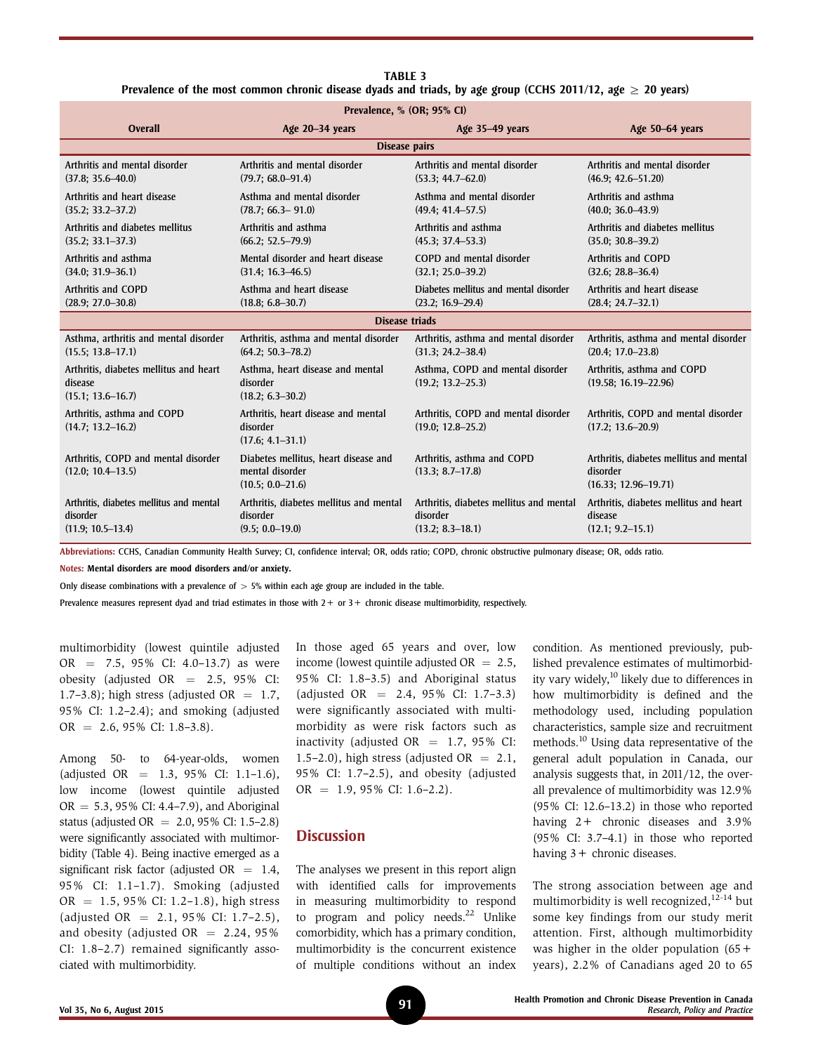| <b>TABLE 3</b>                                                                                                   |  |
|------------------------------------------------------------------------------------------------------------------|--|
| Prevalence of the most common chronic disease dyads and triads, by age group (CCHS 2011/12, age $\geq$ 20 years) |  |

| Prevalence, % (OR; 95% CI)                                                 |                                                                                 |                                                              |                                                                                 |  |  |  |
|----------------------------------------------------------------------------|---------------------------------------------------------------------------------|--------------------------------------------------------------|---------------------------------------------------------------------------------|--|--|--|
| <b>Overall</b>                                                             | Age 20-34 years                                                                 | Age 35-49 years                                              | Age 50-64 years                                                                 |  |  |  |
| Disease pairs                                                              |                                                                                 |                                                              |                                                                                 |  |  |  |
| Arthritis and mental disorder                                              | Arthritis and mental disorder                                                   | Arthritis and mental disorder                                | Arthritis and mental disorder                                                   |  |  |  |
| $(37.8; 35.6 - 40.0)$                                                      | $(79.7; 68.0 - 91.4)$                                                           | $(53.3; 44.7 - 62.0)$                                        | $(46.9; 42.6 - 51.20)$                                                          |  |  |  |
| Arthritis and heart disease                                                | Asthma and mental disorder                                                      | Asthma and mental disorder                                   | Arthritis and asthma                                                            |  |  |  |
| $(35.2; 33.2 - 37.2)$                                                      | $(78.7; 66.3 - 91.0)$                                                           | $(49.4; 41.4 - 57.5)$                                        | $(40.0; 36.0 - 43.9)$                                                           |  |  |  |
| Arthritis and diabetes mellitus                                            | Arthritis and asthma                                                            | Arthritis and asthma                                         | Arthritis and diabetes mellitus                                                 |  |  |  |
| $(35.2; 33.1 - 37.3)$                                                      | $(66.2; 52.5 - 79.9)$                                                           | (45.3; 37.4–53.3)                                            | $(35.0; 30.8 - 39.2)$                                                           |  |  |  |
| Arthritis and asthma                                                       | Mental disorder and heart disease                                               | COPD and mental disorder                                     | Arthritis and COPD                                                              |  |  |  |
| $(34.0; 31.9 - 36.1)$                                                      | $(31.4; 16.3 - 46.5)$                                                           | $(32.1; 25.0 - 39.2)$                                        | $(32.6; 28.8 - 36.4)$                                                           |  |  |  |
| Arthritis and COPD                                                         | Asthma and heart disease                                                        | Diabetes mellitus and mental disorder                        | Arthritis and heart disease                                                     |  |  |  |
| $(28.9; 27.0 - 30.8)$                                                      | $(18.8; 6.8 - 30.7)$                                                            | $(23.2; 16.9 - 29.4)$                                        | $(28.4; 24.7 - 32.1)$                                                           |  |  |  |
| <b>Disease triads</b>                                                      |                                                                                 |                                                              |                                                                                 |  |  |  |
| Asthma, arthritis and mental disorder                                      | Arthritis, asthma and mental disorder                                           | Arthritis, asthma and mental disorder                        | Arthritis, asthma and mental disorder                                           |  |  |  |
| $(15.5; 13.8 - 17.1)$                                                      | $(64.2; 50.3 - 78.2)$                                                           | $(31.3; 24.2 - 38.4)$                                        | $(20.4; 17.0 - 23.8)$                                                           |  |  |  |
| Arthritis, diabetes mellitus and heart<br>disease<br>$(15.1; 13.6 - 16.7)$ | Asthma, heart disease and mental<br>disorder<br>$(18.2; 6.3 - 30.2)$            | Asthma, COPD and mental disorder<br>$(19.2; 13.2 - 25.3)$    | Arthritis, asthma and COPD<br>$(19.58; 16.19 - 22.96)$                          |  |  |  |
| Arthritis, asthma and COPD<br>$(14.7; 13.2 - 16.2)$                        | Arthritis, heart disease and mental<br>disorder<br>$(17.6; 4.1 - 31.1)$         | Arthritis, COPD and mental disorder<br>$(19.0; 12.8 - 25.2)$ | Arthritis, COPD and mental disorder<br>$(17.2; 13.6 - 20.9)$                    |  |  |  |
| Arthritis, COPD and mental disorder<br>$(12.0; 10.4 - 13.5)$               | Diabetes mellitus, heart disease and<br>mental disorder<br>$(10.5; 0.0 - 21.6)$ | Arthritis, asthma and COPD<br>$(13.3; 8.7-17.8)$             | Arthritis, diabetes mellitus and mental<br>disorder<br>$(16.33; 12.96 - 19.71)$ |  |  |  |
| Arthritis, diabetes mellitus and mental                                    | Arthritis, diabetes mellitus and mental                                         | Arthritis, diabetes mellitus and mental                      | Arthritis, diabetes mellitus and heart                                          |  |  |  |
| disorder                                                                   | disorder                                                                        | disorder                                                     | disease                                                                         |  |  |  |
| $(11.9; 10.5 - 13.4)$                                                      | $(9.5; 0.0-19.0)$                                                               | $(13.2; 8.3 - 18.1)$                                         | $(12.1; 9.2 - 15.1)$                                                            |  |  |  |

Abbreviations: CCHS, Canadian Community Health Survey; CI, confidence interval; OR, odds ratio; COPD, chronic obstructive pulmonary disease; OR, odds ratio.

Notes: Mental disorders are mood disorders and/or anxiety.

Only disease combinations with a prevalence of  $> 5%$  within each age group are included in the table.

Prevalence measures represent dyad and triad estimates in those with  $2 +$  or  $3 +$  chronic disease multimorbidity, respectively.

multimorbidity (lowest quintile adjusted OR =  $7.5, 95\%$  CI:  $4.0-13.7$  as were obesity (adjusted  $OR = 2.5$ , 95% CI: 1.7–3.8); high stress (adjusted  $OR = 1.7$ , 95% CI: 1.2–2.4); and smoking (adjusted  $OR = 2.6, 95\% \text{ CI: } 1.8-3.8$ .

Among 50- to 64-year-olds, women (adjusted OR  $=$  1.3, 95% CI: 1.1-1.6), low income (lowest quintile adjusted  $OR = 5.3, 95\%$  CI: 4.4-7.9), and Aboriginal status (adjusted OR =  $2.0, 95\%$  CI: 1.5–2.8) were significantly associated with multimorbidity (Table 4). Being inactive emerged as a significant risk factor (adjusted  $OR = 1.4$ , 95% CI: 1.1–1.7). Smoking (adjusted  $OR = 1.5, 95\% CI: 1.2-1.8$ , high stress (adjusted OR = 2.1, 95% CI: 1.7-2.5), and obesity (adjusted OR  $= 2.24, 95\%$ CI: 1.8–2.7) remained significantly associated with multimorbidity.

In those aged 65 years and over, low income (lowest quintile adjusted  $OR = 2.5$ , 95% CI: 1.8–3.5) and Aboriginal status (adjusted OR  $=$  2.4, 95% CI: 1.7–3.3) were significantly associated with multimorbidity as were risk factors such as inactivity (adjusted  $OR = 1.7$ , 95% CI: 1.5–2.0), high stress (adjusted OR  $= 2.1$ , 95% CI: 1.7–2.5), and obesity (adjusted  $OR = 1.9, 95\% \text{ CI: } 1.6-2.2$ .

## **Discussion**

The analyses we present in this report align with identified calls for improvements in measuring multimorbidity to respond to program and policy needs.<sup>22</sup> Unlike comorbidity, which has a primary condition, multimorbidity is the concurrent existence of multiple conditions without an index

condition. As mentioned previously, published prevalence estimates of multimorbidity vary widely,<sup>10</sup> likely due to differences in how multimorbidity is defined and the methodology used, including population characteristics, sample size and recruitment methods.10 Using data representative of the general adult population in Canada, our analysis suggests that, in 2011/12, the overall prevalence of multimorbidity was 12.9% (95% CI: 12.6–13.2) in those who reported having 2+ chronic diseases and 3.9% (95% CI: 3.7–4.1) in those who reported having 3+ chronic diseases.

The strong association between age and multimorbidity is well recognized,  $12-14$  but some key findings from our study merit attention. First, although multimorbidity was higher in the older population  $(65 +$ years), 2.2% of Canadians aged 20 to 65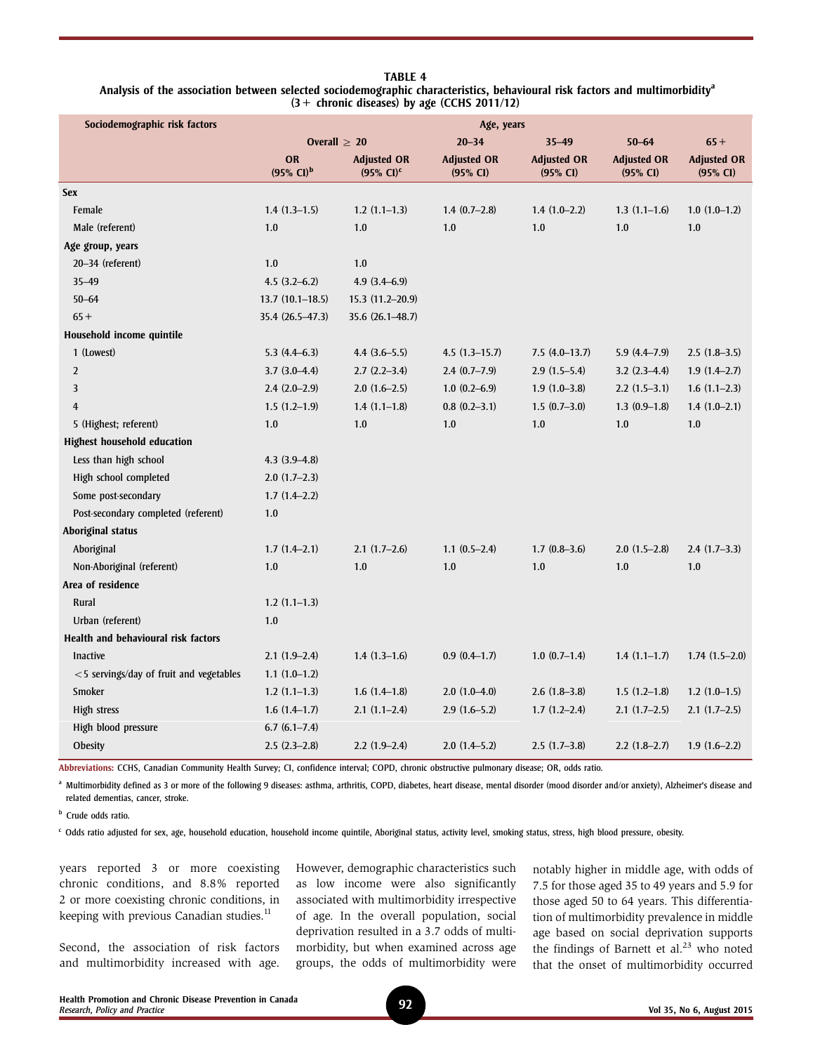TABLE 4

| Analysis of the association between selected sociodemographic characteristics, behavioural risk factors and multimorbidity <sup>a</sup> |
|-----------------------------------------------------------------------------------------------------------------------------------------|
| $(3 +$ chronic diseases) by age (CCHS 2011/12)                                                                                          |

| Sociodemographic risk factors              | Age, years                                  |                                             |                                |                                |                                |                                |
|--------------------------------------------|---------------------------------------------|---------------------------------------------|--------------------------------|--------------------------------|--------------------------------|--------------------------------|
|                                            | Overall $\geq 20$<br>$20 - 34$<br>$35 - 49$ |                                             | $50 - 64$                      | $65+$                          |                                |                                |
|                                            | OR<br>$(95\% \text{ Cl})^b$                 | <b>Adjusted OR</b><br>$(95\% \text{ Cl})^c$ | <b>Adjusted OR</b><br>(95% CI) | <b>Adjusted OR</b><br>(95% CI) | <b>Adjusted OR</b><br>(95% CI) | <b>Adjusted OR</b><br>(95% CI) |
| <b>Sex</b>                                 |                                             |                                             |                                |                                |                                |                                |
| Female                                     | $1.4(1.3-1.5)$                              | $1.2(1.1-1.3)$                              | $1.4(0.7-2.8)$                 | $1.4(1.0-2.2)$                 | $1.3(1.1-1.6)$                 | $1.0(1.0-1.2)$                 |
| Male (referent)                            | 1.0                                         | 1.0                                         | 1.0                            | 1.0                            | 1.0                            | 1.0                            |
| Age group, years                           |                                             |                                             |                                |                                |                                |                                |
| 20-34 (referent)                           | 1.0                                         | 1.0                                         |                                |                                |                                |                                |
| $35 - 49$                                  | $4.5(3.2 - 6.2)$                            | $4.9(3.4 - 6.9)$                            |                                |                                |                                |                                |
| $50 - 64$                                  | $13.7(10.1 - 18.5)$                         | $15.3(11.2-20.9)$                           |                                |                                |                                |                                |
| $65+$                                      | 35.4 (26.5-47.3)                            | $35.6(26.1-48.7)$                           |                                |                                |                                |                                |
| Household income quintile                  |                                             |                                             |                                |                                |                                |                                |
| 1 (Lowest)                                 | $5.3(4.4-6.3)$                              | $4.4(3.6-5.5)$                              | $4.5(1.3-15.7)$                | $7.5(4.0-13.7)$                | $5.9(4.4 - 7.9)$               | $2.5(1.8-3.5)$                 |
| $\overline{\mathbf{c}}$                    | $3.7(3.0-4.4)$                              | $2.7(2.2-3.4)$                              | $2.4(0.7-7.9)$                 | $2.9(1.5-5.4)$                 | $3.2(2.3-4.4)$                 | $1.9(1.4-2.7)$                 |
| 3                                          | $2.4(2.0-2.9)$                              | $2.0(1.6-2.5)$                              | $1.0(0.2-6.9)$                 | $1.9(1.0-3.8)$                 | $2.2(1.5-3.1)$                 | $1.6(1.1-2.3)$                 |
| $\overline{4}$                             | $1.5(1.2-1.9)$                              | $1.4(1.1-1.8)$                              | $0.8(0.2 - 3.1)$               | $1.5(0.7-3.0)$                 | $1.3(0.9-1.8)$                 | $1.4(1.0-2.1)$                 |
| 5 (Highest; referent)                      | 1.0                                         | 1.0                                         | 1.0                            | 1.0                            | 1.0                            | 1.0                            |
| <b>Highest household education</b>         |                                             |                                             |                                |                                |                                |                                |
| Less than high school                      | $4.3(3.9-4.8)$                              |                                             |                                |                                |                                |                                |
| High school completed                      | $2.0(1.7-2.3)$                              |                                             |                                |                                |                                |                                |
| Some post-secondary                        | $1.7(1.4-2.2)$                              |                                             |                                |                                |                                |                                |
| Post-secondary completed (referent)        | 1.0                                         |                                             |                                |                                |                                |                                |
| <b>Aboriginal status</b>                   |                                             |                                             |                                |                                |                                |                                |
| Aboriginal                                 | $1.7(1.4-2.1)$                              | $2.1(1.7-2.6)$                              | $1.1(0.5-2.4)$                 | $1.7(0.8-3.6)$                 | $2.0(1.5-2.8)$                 | $2.4(1.7-3.3)$                 |
| Non-Aboriginal (referent)                  | 1.0                                         | 1.0                                         | 1.0                            | 1.0                            | 1.0                            | 1.0                            |
| Area of residence                          |                                             |                                             |                                |                                |                                |                                |
| Rural                                      | $1.2(1.1-1.3)$                              |                                             |                                |                                |                                |                                |
| Urban (referent)                           | 1.0                                         |                                             |                                |                                |                                |                                |
| <b>Health and behavioural risk factors</b> |                                             |                                             |                                |                                |                                |                                |
| <b>Inactive</b>                            | $2.1(1.9-2.4)$                              | $1.4(1.3-1.6)$                              | $0.9(0.4-1.7)$                 | $1.0(0.7-1.4)$                 | $1.4(1.1-1.7)$                 | $1.74(1.5-2.0)$                |
| <5 servings/day of fruit and vegetables    | $1.1(1.0-1.2)$                              |                                             |                                |                                |                                |                                |
| Smoker                                     | $1.2(1.1-1.3)$                              | $1.6(1.4-1.8)$                              | $2.0(1.0-4.0)$                 | $2.6(1.8-3.8)$                 | $1.5(1.2-1.8)$                 | $1.2(1.0-1.5)$                 |
| High stress                                | $1.6(1.4-1.7)$                              | $2.1(1.1-2.4)$                              | $2.9(1.6-5.2)$                 | $1.7(1.2-2.4)$                 | $2.1(1.7-2.5)$                 | $2.1(1.7-2.5)$                 |
| High blood pressure                        | $6.7(6.1 - 7.4)$                            |                                             |                                |                                |                                |                                |
| Obesity                                    | $2.5(2.3-2.8)$                              | $2.2(1.9-2.4)$                              | $2.0(1.4-5.2)$                 | $2.5(1.7-3.8)$                 | $2.2(1.8-2.7)$                 | $1.9(1.6-2.2)$                 |

Abbreviations: CCHS, Canadian Community Health Survey; CI, confidence interval; COPD, chronic obstructive pulmonary disease; OR, odds ratio.

a Multimorbidity defined as 3 or more of the following 9 diseases: asthma, arthritis, COPD, diabetes, heart disease, mental disorder (mood disorder and/or anxiety), Alzheimer's disease and related dementias, cancer, stroke.

**b** Crude odds ratio.

<sup>c</sup> Odds ratio adjusted for sex, age, household education, household income quintile, Aboriginal status, activity level, smoking status, stress, high blood pressure, obesity.

years reported 3 or more coexisting chronic conditions, and 8.8% reported 2 or more coexisting chronic conditions, in keeping with previous Canadian studies.<sup>11</sup>

Second, the association of risk factors and multimorbidity increased with age.

However, demographic characteristics such as low income were also significantly associated with multimorbidity irrespective of age. In the overall population, social deprivation resulted in a 3.7 odds of multimorbidity, but when examined across age groups, the odds of multimorbidity were notably higher in middle age, with odds of 7.5 for those aged 35 to 49 years and 5.9 for those aged 50 to 64 years. This differentiation of multimorbidity prevalence in middle age based on social deprivation supports the findings of Barnett et al. $^{23}$  who noted that the onset of multimorbidity occurred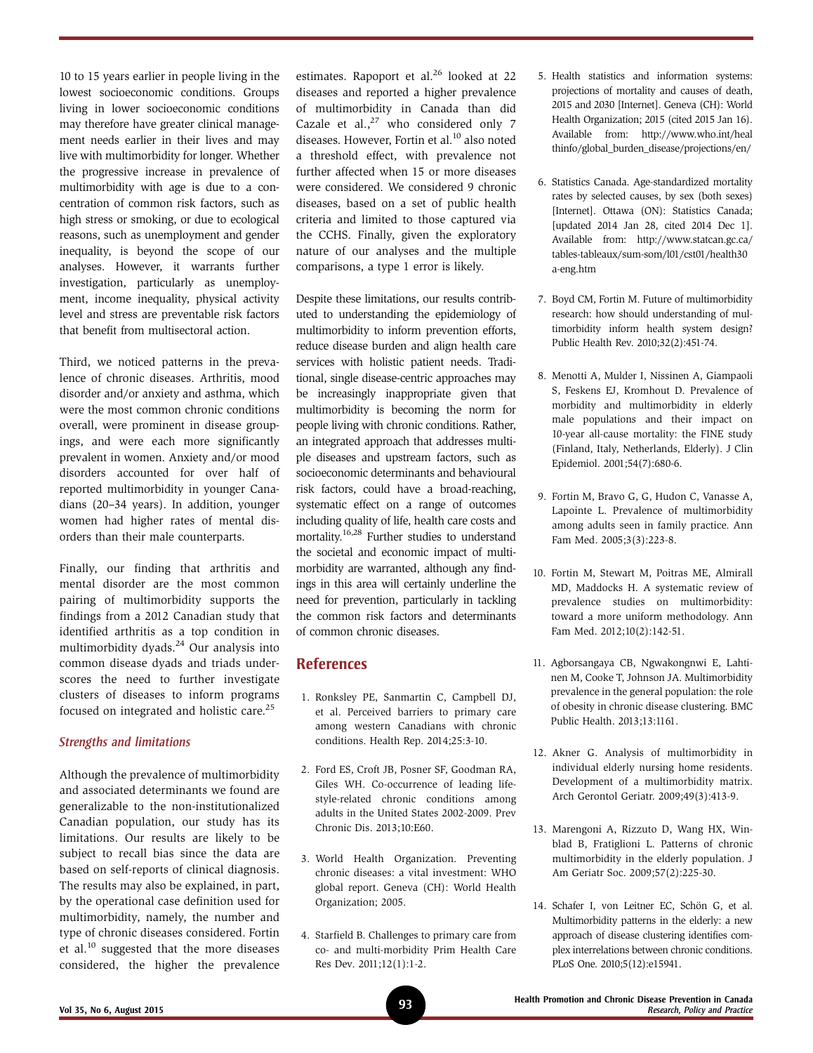10 to 15 years earlier in people living in the lowest socioeconomic conditions. Groups living in lower socioeconomic conditions may therefore have greater clinical management needs earlier in their lives and may live with multimorbidity for longer. Whether the progressive increase in prevalence of multimorbidity with age is due to a concentration of common risk factors, such as high stress or smoking, or due to ecological reasons, such as unemployment and gender inequality, is beyond the scope of our analyses. However, it warrants further investigation, particularly as unemployment, income inequality, physical activity level and stress are preventable risk factors that benefit from multisectoral action.

Third, we noticed patterns in the prevalence of chronic diseases. Arthritis, mood disorder and/or anxiety and asthma, which were the most common chronic conditions overall, were prominent in disease groupings, and were each more significantly prevalent in women. Anxiety and/or mood disorders accounted for over half of reported multimorbidity in younger Canadians (20–34 years). In addition, younger women had higher rates of mental disorders than their male counterparts.

Finally, our finding that arthritis and mental disorder are the most common pairing of multimorbidity supports the findings from a 2012 Canadian study that identified arthritis as a top condition in multimorbidity dyads. $^{24}$  Our analysis into common disease dyads and triads underscores the need to further investigate clusters of diseases to inform programs focused on integrated and holistic care.<sup>25</sup>

#### Strengths and limitations

Although the prevalence of multimorbidity and associated determinants we found are generalizable to the non-institutionalized Canadian population, our study has its limitations. Our results are likely to be subject to recall bias since the data are based on self-reports of clinical diagnosis. The results may also be explained, in part, by the operational case definition used for multimorbidity, namely, the number and type of chronic diseases considered. Fortin et al.<sup>10</sup> suggested that the more diseases considered, the higher the prevalence estimates. Rapoport et al.<sup>26</sup> looked at 22 diseases and reported a higher prevalence of multimorbidity in Canada than did Cazale et al., $27$  who considered only 7 diseases. However, Fortin et al.<sup>10</sup> also noted a threshold effect, with prevalence not further affected when 15 or more diseases were considered. We considered 9 chronic diseases, based on a set of public health criteria and limited to those captured via the CCHS. Finally, given the exploratory nature of our analyses and the multiple comparisons, a type 1 error is likely.

Despite these limitations, our results contributed to understanding the epidemiology of multimorbidity to inform prevention efforts, reduce disease burden and align health care services with holistic patient needs. Traditional, single disease-centric approaches may be increasingly inappropriate given that multimorbidity is becoming the norm for people living with chronic conditions. Rather, an integrated approach that addresses multiple diseases and upstream factors, such as socioeconomic determinants and behavioural risk factors, could have a broad-reaching, systematic effect on a range of outcomes including quality of life, health care costs and mortality.16,28 Further studies to understand the societal and economic impact of multimorbidity are warranted, although any findings in this area will certainly underline the need for prevention, particularly in tackling the common risk factors and determinants of common chronic diseases.

## References

- 1. Ronksley PE, Sanmartin C, Campbell DJ, et al. Perceived barriers to primary care among western Canadians with chronic conditions. Health Rep. 2014;25:3-10.
- 2. Ford ES, Croft JB, Posner SF, Goodman RA, Giles WH. Co-occurrence of leading lifestyle-related chronic conditions among adults in the United States 2002-2009. Prev Chronic Dis. 2013;10:E60.
- 3. World Health Organization. Preventing chronic diseases: a vital investment: WHO global report. Geneva (CH): World Health Organization; 2005.
- 4. Starfield B. Challenges to primary care from co- and multi-morbidity Prim Health Care Res Dev. 2011;12(1):1-2.
- 5. Health statistics and information systems: projections of mortality and causes of death, 2015 and 2030 [Internet]. Geneva (CH): World Health Organization; 2015 (cited 2015 Jan 16). Available from: [http://www.who.int/heal](http://www.who.int/healthinfo/global_burden_disease/projections/en/) [thinfo/global\\_burden\\_disease/projections/en/](http://www.who.int/healthinfo/global_burden_disease/projections/en/)
- 6. Statistics Canada. Age-standardized mortality rates by selected causes, by sex (both sexes) [Internet]. Ottawa (ON): Statistics Canada; [updated 2014 Jan 28, cited 2014 Dec 1]. Available from: [http://www.statcan.gc.ca/](http://www.statcan.gc.ca/tables-tableaux/sum-som/l01/cst01/health30a-eng.htm) [tables-tableaux/sum-som/l01/cst01/health30](http://www.statcan.gc.ca/tables-tableaux/sum-som/l01/cst01/health30a-eng.htm) [a-eng.htm](http://www.statcan.gc.ca/tables-tableaux/sum-som/l01/cst01/health30a-eng.htm)
- 7. Boyd CM, Fortin M. Future of multimorbidity research: how should understanding of multimorbidity inform health system design? Public Health Rev. 2010;32(2):451-74.
- 8. Menotti A, Mulder I, Nissinen A, Giampaoli S, Feskens EJ, Kromhout D. Prevalence of morbidity and multimorbidity in elderly male populations and their impact on 10-year all-cause mortality: the FINE study (Finland, Italy, Netherlands, Elderly). J Clin Epidemiol. 2001;54(7):680-6.
- 9. Fortin M, Bravo G, G, Hudon C, Vanasse A, Lapointe L. Prevalence of multimorbidity among adults seen in family practice. Ann Fam Med. 2005;3(3):223-8.
- 10. Fortin M, Stewart M, Poitras ME, Almirall MD, Maddocks H. A systematic review of prevalence studies on multimorbidity: toward a more uniform methodology. Ann Fam Med. 2012;10(2):142-51.
- 11. Agborsangaya CB, Ngwakongnwi E, Lahtinen M, Cooke T, Johnson JA. Multimorbidity prevalence in the general population: the role of obesity in chronic disease clustering. BMC Public Health. 2013;13:1161.
- 12. Akner G. Analysis of multimorbidity in individual elderly nursing home residents. Development of a multimorbidity matrix. Arch Gerontol Geriatr. 2009;49(3):413-9.
- 13. Marengoni A, Rizzuto D, Wang HX, Winblad B, Fratiglioni L. Patterns of chronic multimorbidity in the elderly population. J Am Geriatr Soc. 2009;57(2):225-30.
- 14. Schafer I, von Leitner EC, Schön G, et al. Multimorbidity patterns in the elderly: a new approach of disease clustering identifies complex interrelations between chronic conditions. PLoS One. 2010;5(12):e15941.